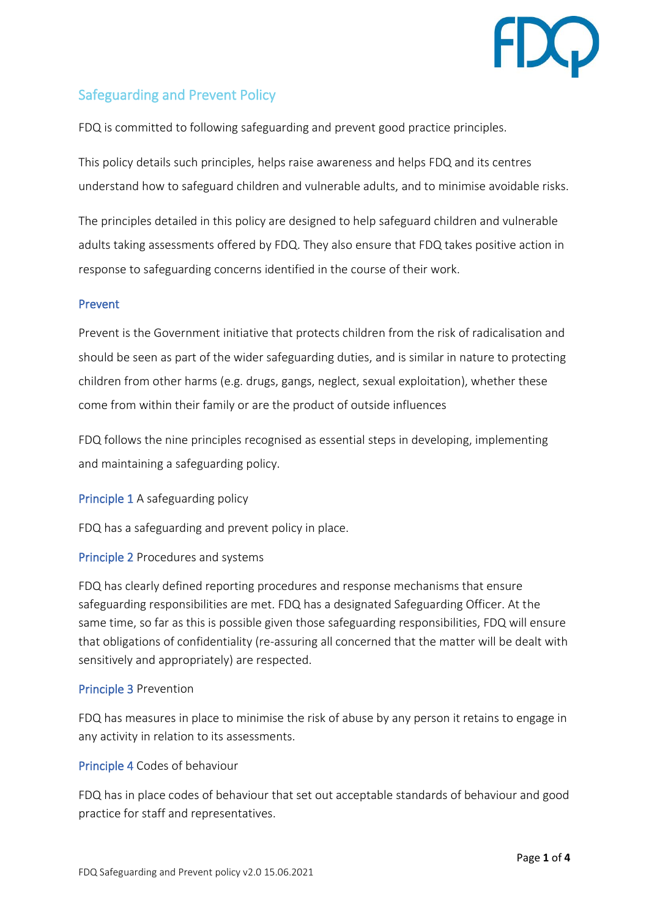

# Safeguarding and Prevent Policy

FDQ is committed to following safeguarding and prevent good practice principles.

This policy details such principles, helps raise awareness and helps FDQ and its centres understand how to safeguard children and vulnerable adults, and to minimise avoidable risks.

The principles detailed in this policy are designed to help safeguard children and vulnerable adults taking assessments offered by FDQ. They also ensure that FDQ takes positive action in response to safeguarding concerns identified in the course of their work.

### Prevent

Prevent is the Government initiative that protects children from the risk of radicalisation and should be seen as part of the wider safeguarding duties, and is similar in nature to protecting children from other harms (e.g. drugs, gangs, neglect, sexual exploitation), whether these come from within their family or are the product of outside influences

FDQ follows the nine principles recognised as essential steps in developing, implementing and maintaining a safeguarding policy.

Principle 1 A safeguarding policy

FDQ has a safeguarding and prevent policy in place.

### Principle 2 Procedures and systems

FDQ has clearly defined reporting procedures and response mechanisms that ensure safeguarding responsibilities are met. FDQ has a designated Safeguarding Officer. At the same time, so far as this is possible given those safeguarding responsibilities, FDQ will ensure that obligations of confidentiality (re-assuring all concerned that the matter will be dealt with sensitively and appropriately) are respected.

### Principle 3 Prevention

FDQ has measures in place to minimise the risk of abuse by any person it retains to engage in any activity in relation to its assessments.

### Principle 4 Codes of behaviour

FDQ has in place codes of behaviour that set out acceptable standards of behaviour and good practice for staff and representatives.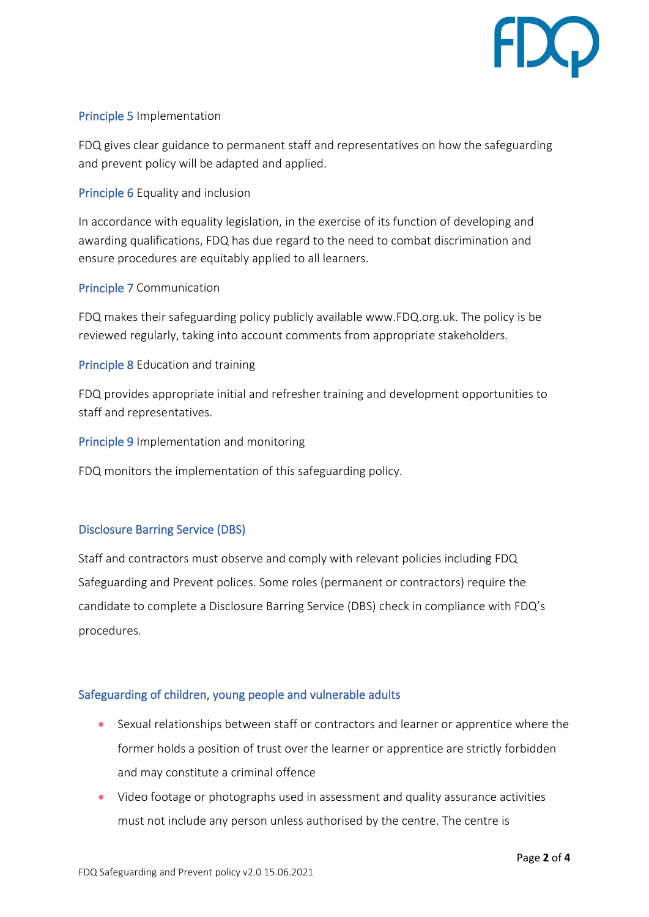

### Principle 5 Implementation

FDQ gives clear guidance to permanent staff and representatives on how the safeguarding and prevent policy will be adapted and applied.

Principle 6 Equality and inclusion

In accordance with equality legislation, in the exercise of its function of developing and awarding qualifications, FDQ has due regard to the need to combat discrimination and ensure procedures are equitably applied to all learners.

### Principle 7 Communication

FDQ makes their safeguarding policy publicly available www.FDQ.org.uk. The policy is be reviewed regularly, taking into account comments from appropriate stakeholders.

Principle 8 Education and training

FDQ provides appropriate initial and refresher training and development opportunities to staff and representatives.

Principle 9 Implementation and monitoring

FDQ monitors the implementation of this safeguarding policy.

# Disclosure Barring Service (DBS)

Staff and contractors must observe and comply with relevant policies including FDQ Safeguarding and Prevent polices. Some roles (permanent or contractors) require the candidate to complete a Disclosure Barring Service (DBS) check in compliance with FDQ's procedures.

# Safeguarding of children, young people and vulnerable adults

- Sexual relationships between staff or contractors and learner or apprentice where the former holds a position of trust over the learner or apprentice are strictly forbidden and may constitute a criminal offence
- Video footage or photographs used in assessment and quality assurance activities must not include any person unless authorised by the centre. The centre is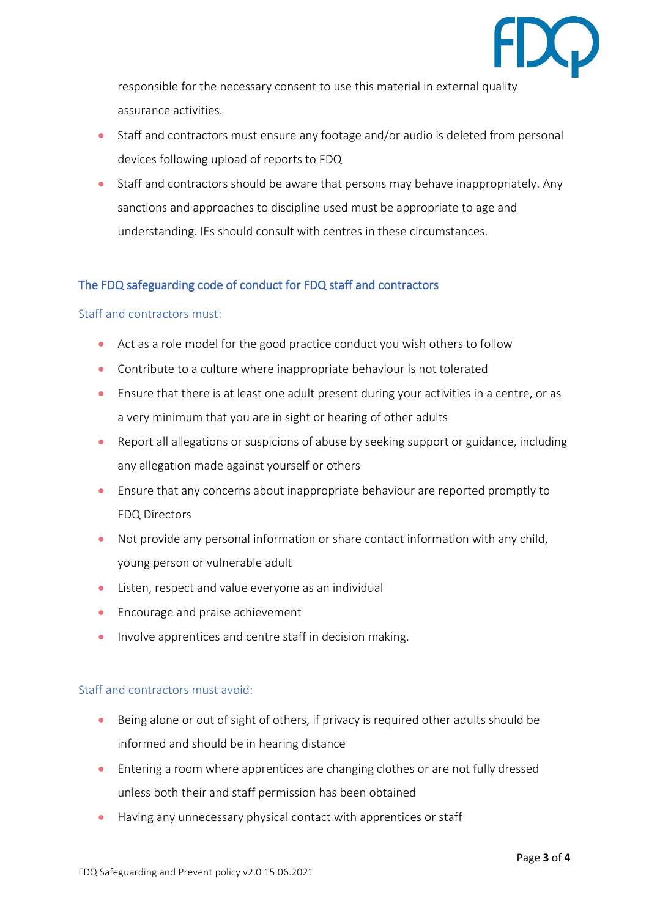

responsible for the necessary consent to use this material in external quality assurance activities.

- Staff and contractors must ensure any footage and/or audio is deleted from personal devices following upload of reports to FDQ
- Staff and contractors should be aware that persons may behave inappropriately. Any sanctions and approaches to discipline used must be appropriate to age and understanding. IEs should consult with centres in these circumstances.

# The FDQ safeguarding code of conduct for FDQ staff and contractors

#### Staff and contractors must:

- Act as a role model for the good practice conduct you wish others to follow
- Contribute to a culture where inappropriate behaviour is not tolerated
- Ensure that there is at least one adult present during your activities in a centre, or as a very minimum that you are in sight or hearing of other adults
- Report all allegations or suspicions of abuse by seeking support or guidance, including any allegation made against yourself or others
- Ensure that any concerns about inappropriate behaviour are reported promptly to FDQ Directors
- Not provide any personal information or share contact information with any child, young person or vulnerable adult
- Listen, respect and value everyone as an individual
- Encourage and praise achievement
- Involve apprentices and centre staff in decision making.

### Staff and contractors must avoid:

- Being alone or out of sight of others, if privacy is required other adults should be informed and should be in hearing distance
- Entering a room where apprentices are changing clothes or are not fully dressed unless both their and staff permission has been obtained
- Having any unnecessary physical contact with apprentices or staff